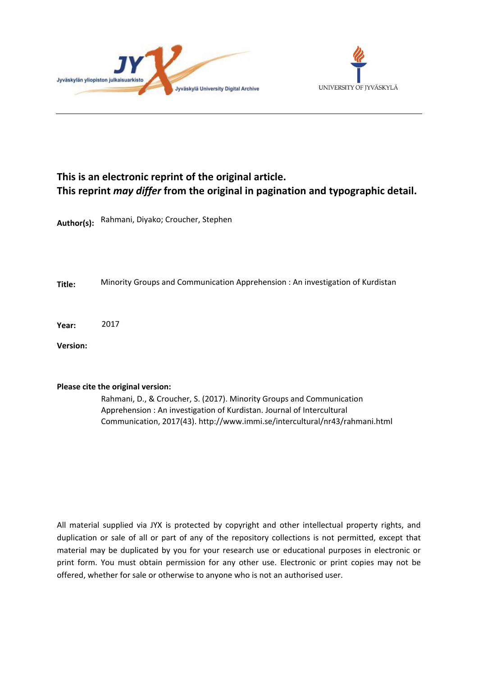



#### **This is an electronic reprint of the original article. This reprint** *may differ* **from the original in pagination and typographic detail.**

**Author(s):**  Rahmani, Diyako; Croucher, Stephen

**Title:** Minority Groups and Communication Apprehension : An investigation of Kurdistan

**Year:**  2017

**Version:**

#### **Please cite the original version:**

Rahmani, D., & Croucher, S. (2017). Minority Groups and Communication Apprehension : An investigation of Kurdistan. Journal of Intercultural Communication, 2017(43). http://www.immi.se/intercultural/nr43/rahmani.html

All material supplied via JYX is protected by copyright and other intellectual property rights, and duplication or sale of all or part of any of the repository collections is not permitted, except that material may be duplicated by you for your research use or educational purposes in electronic or print form. You must obtain permission for any other use. Electronic or print copies may not be offered, whether for sale or otherwise to anyone who is not an authorised user.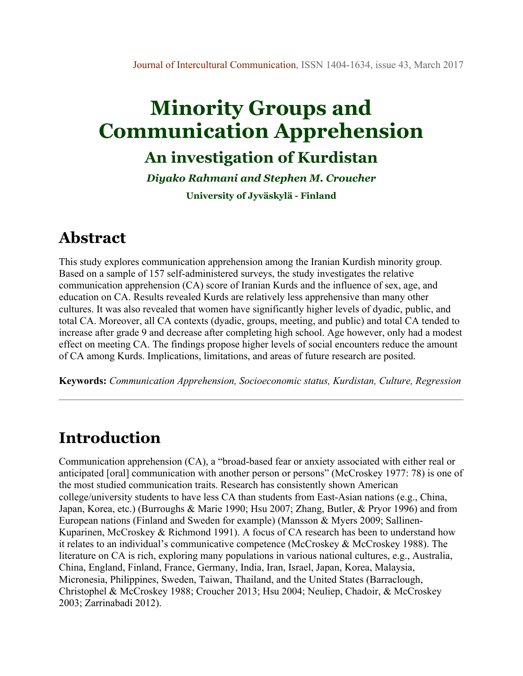# **Minority Groups and Communication Apprehension**

### **An investigation of Kurdistan**

*Diyako Rahmani and Stephen M. Croucher*

**University of Jyväskylä - Finland**

### **Abstract**

This study explores communication apprehension among the Iranian Kurdish minority group. Based on a sample of 157 self-administered surveys, the study investigates the relative communication apprehension (CA) score of Iranian Kurds and the influence of sex, age, and education on CA. Results revealed Kurds are relatively less apprehensive than many other cultures. It was also revealed that women have significantly higher levels of dyadic, public, and total CA. Moreover, all CA contexts (dyadic, groups, meeting, and public) and total CA tended to increase after grade 9 and decrease after completing high school. Age however, only had a modest effect on meeting CA. The findings propose higher levels of social encounters reduce the amount of CA among Kurds. Implications, limitations, and areas of future research are posited.

**Keywords:** *Communication Apprehension, Socioeconomic status, Kurdistan, Culture, Regression*

### **Introduction**

Communication apprehension (CA), a "broad-based fear or anxiety associated with either real or anticipated [oral] communication with another person or persons" (McCroskey 1977: 78) is one of the most studied communication traits. Research has consistently shown American college/university students to have less CA than students from East-Asian nations (e.g., China, Japan, Korea, etc.) (Burroughs & Marie 1990; Hsu 2007; Zhang, Butler, & Pryor 1996) and from European nations (Finland and Sweden for example) (Mansson & Myers 2009; Sallinen-Kuparinen, McCroskey & Richmond 1991). A focus of CA research has been to understand how it relates to an individual's communicative competence (McCroskey & McCroskey 1988). The literature on CA is rich, exploring many populations in various national cultures, e.g., Australia, China, England, Finland, France, Germany, India, Iran, Israel, Japan, Korea, Malaysia, Micronesia, Philippines, Sweden, Taiwan, Thailand, and the United States (Barraclough, Christophel & McCroskey 1988; Croucher 2013; Hsu 2004; Neuliep, Chadoir, & McCroskey 2003; Zarrinabadi 2012).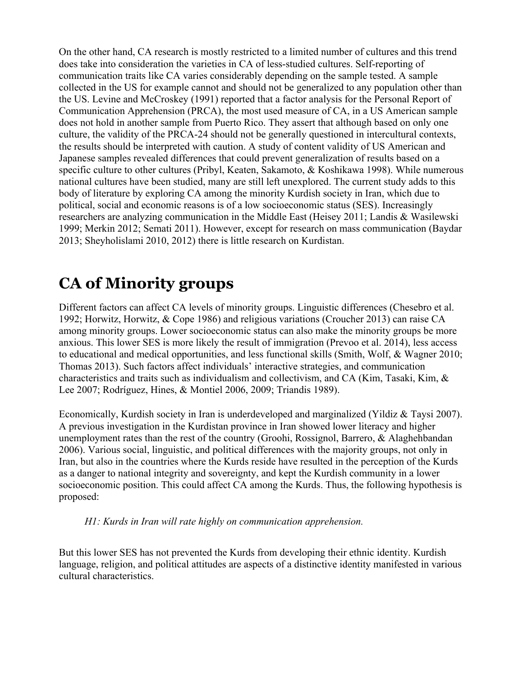On the other hand, CA research is mostly restricted to a limited number of cultures and this trend does take into consideration the varieties in CA of less-studied cultures. Self-reporting of communication traits like CA varies considerably depending on the sample tested. A sample collected in the US for example cannot and should not be generalized to any population other than the US. Levine and McCroskey (1991) reported that a factor analysis for the Personal Report of Communication Apprehension (PRCA), the most used measure of CA, in a US American sample does not hold in another sample from Puerto Rico. They assert that although based on only one culture, the validity of the PRCA-24 should not be generally questioned in intercultural contexts, the results should be interpreted with caution. A study of content validity of US American and Japanese samples revealed differences that could prevent generalization of results based on a specific culture to other cultures (Pribyl, Keaten, Sakamoto, & Koshikawa 1998). While numerous national cultures have been studied, many are still left unexplored. The current study adds to this body of literature by exploring CA among the minority Kurdish society in Iran, which due to political, social and economic reasons is of a low socioeconomic status (SES). Increasingly researchers are analyzing communication in the Middle East (Heisey 2011; Landis & Wasilewski 1999; Merkin 2012; Semati 2011). However, except for research on mass communication (Baydar 2013; Sheyholislami 2010, 2012) there is little research on Kurdistan.

# **CA of Minority groups**

Different factors can affect CA levels of minority groups. Linguistic differences (Chesebro et al. 1992; Horwitz, Horwitz, & Cope 1986) and religious variations (Croucher 2013) can raise CA among minority groups. Lower socioeconomic status can also make the minority groups be more anxious. This lower SES is more likely the result of immigration (Prevoo et al. 2014), less access to educational and medical opportunities, and less functional skills (Smith, Wolf, & Wagner 2010; Thomas 2013). Such factors affect individuals' interactive strategies, and communication characteristics and traits such as individualism and collectivism, and CA (Kim, Tasaki, Kim, & Lee 2007; Rodríguez, Hines, & Montiel 2006, 2009; Triandis 1989).

Economically, Kurdish society in Iran is underdeveloped and marginalized (Yildiz & Taysi 2007). A previous investigation in the Kurdistan province in Iran showed lower literacy and higher unemployment rates than the rest of the country (Groohi, Rossignol, Barrero, & Alaghehbandan 2006). Various social, linguistic, and political differences with the majority groups, not only in Iran, but also in the countries where the Kurds reside have resulted in the perception of the Kurds as a danger to national integrity and sovereignty, and kept the Kurdish community in a lower socioeconomic position. This could affect CA among the Kurds. Thus, the following hypothesis is proposed:

*H1: Kurds in Iran will rate highly on communication apprehension.*

But this lower SES has not prevented the Kurds from developing their ethnic identity. Kurdish language, religion, and political attitudes are aspects of a distinctive identity manifested in various cultural characteristics.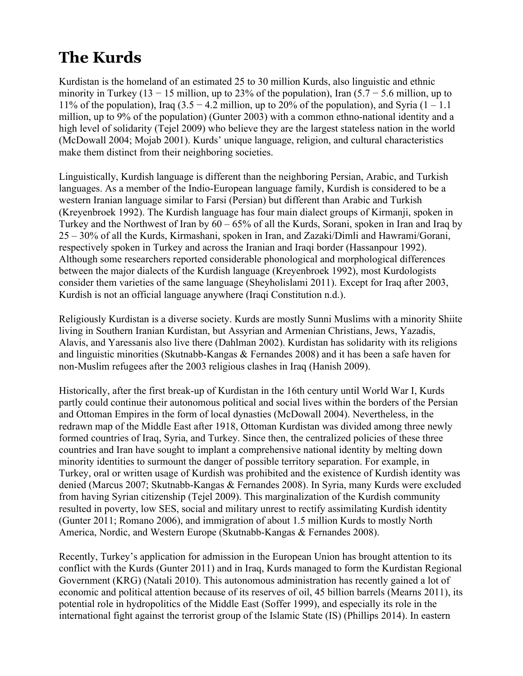# **The Kurds**

Kurdistan is the homeland of an estimated 25 to 30 million Kurds, also linguistic and ethnic minority in Turkey (13 – 15 million, up to 23% of the population), Iran  $(5.7 - 5.6$  million, up to 11% of the population), Iraq (3.5 – 4.2 million, up to 20% of the population), and Syria (1 – 1.1 million, up to 9% of the population) (Gunter 2003) with a common ethno-national identity and a high level of solidarity (Tejel 2009) who believe they are the largest stateless nation in the world (McDowall 2004; Mojab 2001). Kurds' unique language, religion, and cultural characteristics make them distinct from their neighboring societies.

Linguistically, Kurdish language is different than the neighboring Persian, Arabic, and Turkish languages. As a member of the Indio-European language family, Kurdish is considered to be a western Iranian language similar to Farsi (Persian) but different than Arabic and Turkish (Kreyenbroek 1992). The Kurdish language has four main dialect groups of Kirmanji, spoken in Turkey and the Northwest of Iran by 60 – 65% of all the Kurds, Sorani, spoken in Iran and Iraq by 25 – 30% of all the Kurds, Kirmashani, spoken in Iran, and Zazaki/Dimli and Hawrami/Gorani, respectively spoken in Turkey and across the Iranian and Iraqi border (Hassanpour 1992). Although some researchers reported considerable phonological and morphological differences between the major dialects of the Kurdish language (Kreyenbroek 1992), most Kurdologists consider them varieties of the same language (Sheyholislami 2011). Except for Iraq after 2003, Kurdish is not an official language anywhere (Iraqi Constitution n.d.).

Religiously Kurdistan is a diverse society. Kurds are mostly Sunni Muslims with a minority Shiite living in Southern Iranian Kurdistan, but Assyrian and Armenian Christians, Jews, Yazadis, Alavis, and Yaressanis also live there (Dahlman 2002). Kurdistan has solidarity with its religions and linguistic minorities (Skutnabb-Kangas & Fernandes 2008) and it has been a safe haven for non-Muslim refugees after the 2003 religious clashes in Iraq (Hanish 2009).

Historically, after the first break-up of Kurdistan in the 16th century until World War I, Kurds partly could continue their autonomous political and social lives within the borders of the Persian and Ottoman Empires in the form of local dynasties (McDowall 2004). Nevertheless, in the redrawn map of the Middle East after 1918, Ottoman Kurdistan was divided among three newly formed countries of Iraq, Syria, and Turkey. Since then, the centralized policies of these three countries and Iran have sought to implant a comprehensive national identity by melting down minority identities to surmount the danger of possible territory separation. For example, in Turkey, oral or written usage of Kurdish was prohibited and the existence of Kurdish identity was denied (Marcus 2007; Skutnabb-Kangas & Fernandes 2008). In Syria, many Kurds were excluded from having Syrian citizenship (Tejel 2009). This marginalization of the Kurdish community resulted in poverty, low SES, social and military unrest to rectify assimilating Kurdish identity (Gunter 2011; Romano 2006), and immigration of about 1.5 million Kurds to mostly North America, Nordic, and Western Europe (Skutnabb-Kangas & Fernandes 2008).

Recently, Turkey's application for admission in the European Union has brought attention to its conflict with the Kurds (Gunter 2011) and in Iraq, Kurds managed to form the Kurdistan Regional Government (KRG) (Natali 2010). This autonomous administration has recently gained a lot of economic and political attention because of its reserves of oil, 45 billion barrels (Mearns 2011), its potential role in hydropolitics of the Middle East (Soffer 1999), and especially its role in the international fight against the terrorist group of the Islamic State (IS) (Phillips 2014). In eastern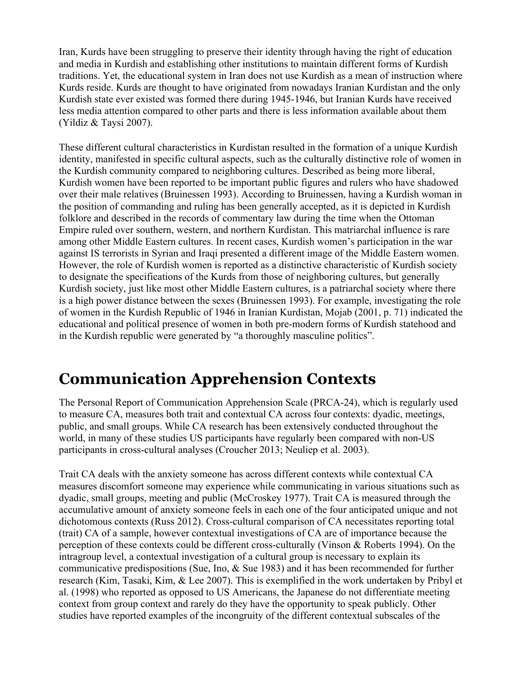Iran, Kurds have been struggling to preserve their identity through having the right of education and media in Kurdish and establishing other institutions to maintain different forms of Kurdish traditions. Yet, the educational system in Iran does not use Kurdish as a mean of instruction where Kurds reside. Kurds are thought to have originated from nowadays Iranian Kurdistan and the only Kurdish state ever existed was formed there during 1945-1946, but Iranian Kurds have received less media attention compared to other parts and there is less information available about them (Yildiz & Taysi 2007).

These different cultural characteristics in Kurdistan resulted in the formation of a unique Kurdish identity, manifested in specific cultural aspects, such as the culturally distinctive role of women in the Kurdish community compared to neighboring cultures. Described as being more liberal, Kurdish women have been reported to be important public figures and rulers who have shadowed over their male relatives (Bruinessen 1993). According to Bruinessen, having a Kurdish woman in the position of commanding and ruling has been generally accepted, as it is depicted in Kurdish folklore and described in the records of commentary law during the time when the Ottoman Empire ruled over southern, western, and northern Kurdistan. This matriarchal influence is rare among other Middle Eastern cultures. In recent cases, Kurdish women's participation in the war against IS terrorists in Syrian and Iraqi presented a different image of the Middle Eastern women. However, the role of Kurdish women is reported as a distinctive characteristic of Kurdish society to designate the specifications of the Kurds from those of neighboring cultures, but generally Kurdish society, just like most other Middle Eastern cultures, is a patriarchal society where there is a high power distance between the sexes (Bruinessen 1993). For example, investigating the role of women in the Kurdish Republic of 1946 in Iranian Kurdistan, Mojab (2001, p. 71) indicated the educational and political presence of women in both pre-modern forms of Kurdish statehood and in the Kurdish republic were generated by "a thoroughly masculine politics".

### **Communication Apprehension Contexts**

The Personal Report of Communication Apprehension Scale (PRCA-24), which is regularly used to measure CA, measures both trait and contextual CA across four contexts: dyadic, meetings, public, and small groups. While CA research has been extensively conducted throughout the world, in many of these studies US participants have regularly been compared with non-US participants in cross-cultural analyses (Croucher 2013; Neuliep et al. 2003).

Trait CA deals with the anxiety someone has across different contexts while contextual CA measures discomfort someone may experience while communicating in various situations such as dyadic, small groups, meeting and public (McCroskey 1977). Trait CA is measured through the accumulative amount of anxiety someone feels in each one of the four anticipated unique and not dichotomous contexts (Russ 2012). Cross-cultural comparison of CA necessitates reporting total (trait) CA of a sample, however contextual investigations of CA are of importance because the perception of these contexts could be different cross-culturally (Vinson & Roberts 1994). On the intragroup level, a contextual investigation of a cultural group is necessary to explain its communicative predispositions (Sue, Ino, & Sue 1983) and it has been recommended for further research (Kim, Tasaki, Kim, & Lee 2007). This is exemplified in the work undertaken by Pribyl et al. (1998) who reported as opposed to US Americans, the Japanese do not differentiate meeting context from group context and rarely do they have the opportunity to speak publicly. Other studies have reported examples of the incongruity of the different contextual subscales of the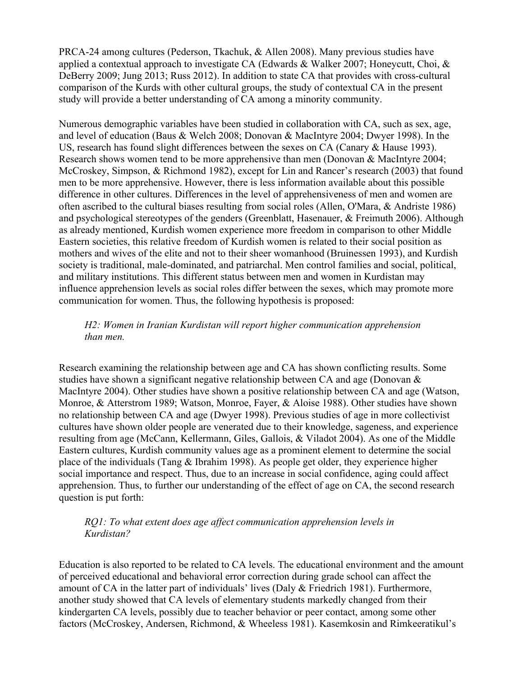PRCA-24 among cultures (Pederson, Tkachuk, & Allen 2008). Many previous studies have applied a contextual approach to investigate CA (Edwards & Walker 2007; Honeycutt, Choi,  $\&$ DeBerry 2009; Jung 2013; Russ 2012). In addition to state CA that provides with cross-cultural comparison of the Kurds with other cultural groups, the study of contextual CA in the present study will provide a better understanding of CA among a minority community.

Numerous demographic variables have been studied in collaboration with CA, such as sex, age, and level of education (Baus & Welch 2008; Donovan & MacIntyre 2004; Dwyer 1998). In the US, research has found slight differences between the sexes on CA (Canary & Hause 1993). Research shows women tend to be more apprehensive than men (Donovan & MacIntyre 2004; McCroskey, Simpson, & Richmond 1982), except for Lin and Rancer's research (2003) that found men to be more apprehensive. However, there is less information available about this possible difference in other cultures. Differences in the level of apprehensiveness of men and women are often ascribed to the cultural biases resulting from social roles (Allen, O'Mara, & Andriste 1986) and psychological stereotypes of the genders (Greenblatt, Hasenauer, & Freimuth 2006). Although as already mentioned, Kurdish women experience more freedom in comparison to other Middle Eastern societies, this relative freedom of Kurdish women is related to their social position as mothers and wives of the elite and not to their sheer womanhood (Bruinessen 1993), and Kurdish society is traditional, male-dominated, and patriarchal. Men control families and social, political, and military institutions. This different status between men and women in Kurdistan may influence apprehension levels as social roles differ between the sexes, which may promote more communication for women. Thus, the following hypothesis is proposed:

#### *H2: Women in Iranian Kurdistan will report higher communication apprehension than men.*

Research examining the relationship between age and CA has shown conflicting results. Some studies have shown a significant negative relationship between CA and age (Donovan & MacIntyre 2004). Other studies have shown a positive relationship between CA and age (Watson, Monroe, & Atterstrom 1989; Watson, Monroe, Fayer, & Aloise 1988). Other studies have shown no relationship between CA and age (Dwyer 1998). Previous studies of age in more collectivist cultures have shown older people are venerated due to their knowledge, sageness, and experience resulting from age (McCann, Kellermann, Giles, Gallois, & Viladot 2004). As one of the Middle Eastern cultures, Kurdish community values age as a prominent element to determine the social place of the individuals (Tang & Ibrahim 1998). As people get older, they experience higher social importance and respect. Thus, due to an increase in social confidence, aging could affect apprehension. Thus, to further our understanding of the effect of age on CA, the second research question is put forth:

#### *RQ1: To what extent does age affect communication apprehension levels in Kurdistan?*

Education is also reported to be related to CA levels. The educational environment and the amount of perceived educational and behavioral error correction during grade school can affect the amount of CA in the latter part of individuals' lives (Daly & Friedrich 1981). Furthermore, another study showed that CA levels of elementary students markedly changed from their kindergarten CA levels, possibly due to teacher behavior or peer contact, among some other factors (McCroskey, Andersen, Richmond, & Wheeless 1981). Kasemkosin and Rimkeeratikul's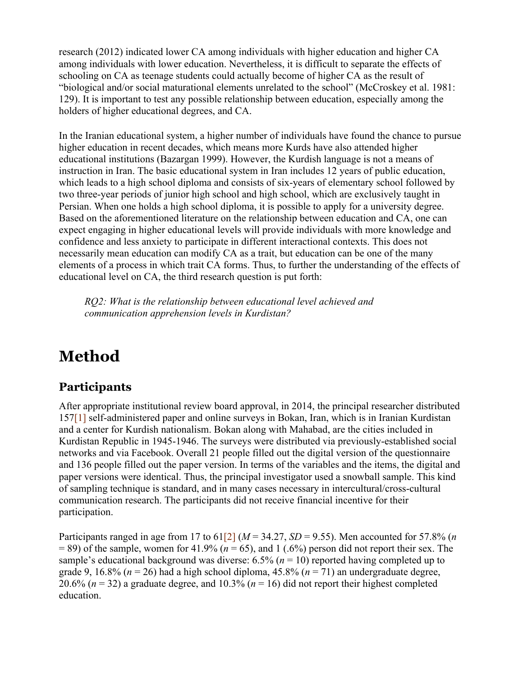research (2012) indicated lower CA among individuals with higher education and higher CA among individuals with lower education. Nevertheless, it is difficult to separate the effects of schooling on CA as teenage students could actually become of higher CA as the result of "biological and/or social maturational elements unrelated to the school" (McCroskey et al. 1981: 129). It is important to test any possible relationship between education, especially among the holders of higher educational degrees, and CA.

In the Iranian educational system, a higher number of individuals have found the chance to pursue higher education in recent decades, which means more Kurds have also attended higher educational institutions (Bazargan 1999). However, the Kurdish language is not a means of instruction in Iran. The basic educational system in Iran includes 12 years of public education, which leads to a high school diploma and consists of six-years of elementary school followed by two three-year periods of junior high school and high school, which are exclusively taught in Persian. When one holds a high school diploma, it is possible to apply for a university degree. Based on the aforementioned literature on the relationship between education and CA, one can expect engaging in higher educational levels will provide individuals with more knowledge and confidence and less anxiety to participate in different interactional contexts. This does not necessarily mean education can modify CA as a trait, but education can be one of the many elements of a process in which trait CA forms. Thus, to further the understanding of the effects of educational level on CA, the third research question is put forth:

*RQ2: What is the relationship between educational level achieved and communication apprehension levels in Kurdistan?*

# **Method**

#### **Participants**

After appropriate institutional review board approval, in 2014, the principal researcher distributed 157[1] self-administered paper and online surveys in Bokan, Iran, which is in Iranian Kurdistan and a center for Kurdish nationalism. Bokan along with Mahabad, are the cities included in Kurdistan Republic in 1945-1946. The surveys were distributed via previously-established social networks and via Facebook. Overall 21 people filled out the digital version of the questionnaire and 136 people filled out the paper version. In terms of the variables and the items, the digital and paper versions were identical. Thus, the principal investigator used a snowball sample. This kind of sampling technique is standard, and in many cases necessary in intercultural/cross-cultural communication research. The participants did not receive financial incentive for their participation.

Participants ranged in age from 17 to  $61\overline{[2]}$  ( $M = 34.27$ ,  $SD = 9.55$ ). Men accounted for 57.8% (*n*  $= 89$ ) of the sample, women for 41.9% ( $n = 65$ ), and 1 (.6%) person did not report their sex. The sample's educational background was diverse:  $6.5\%$  ( $n = 10$ ) reported having completed up to grade 9, 16.8% (*n* = 26) had a high school diploma, 45.8% (*n* = 71) an undergraduate degree, 20.6% ( $n = 32$ ) a graduate degree, and 10.3% ( $n = 16$ ) did not report their highest completed education.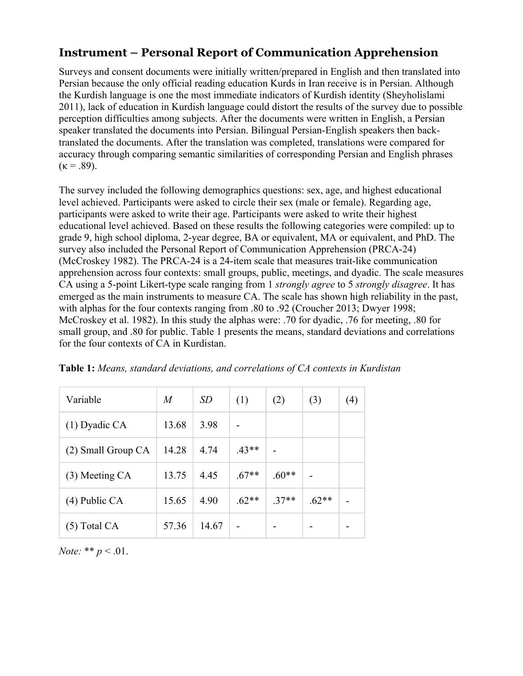#### **Instrument – Personal Report of Communication Apprehension**

Surveys and consent documents were initially written/prepared in English and then translated into Persian because the only official reading education Kurds in Iran receive is in Persian. Although the Kurdish language is one the most immediate indicators of Kurdish identity (Sheyholislami 2011), lack of education in Kurdish language could distort the results of the survey due to possible perception difficulties among subjects. After the documents were written in English, a Persian speaker translated the documents into Persian. Bilingual Persian-English speakers then backtranslated the documents. After the translation was completed, translations were compared for accuracy through comparing semantic similarities of corresponding Persian and English phrases  $(\kappa = .89)$ .

The survey included the following demographics questions: sex, age, and highest educational level achieved. Participants were asked to circle their sex (male or female). Regarding age, participants were asked to write their age. Participants were asked to write their highest educational level achieved. Based on these results the following categories were compiled: up to grade 9, high school diploma, 2-year degree, BA or equivalent, MA or equivalent, and PhD. The survey also included the Personal Report of Communication Apprehension (PRCA-24) (McCroskey 1982). The PRCA-24 is a 24-item scale that measures trait-like communication apprehension across four contexts: small groups, public, meetings, and dyadic. The scale measures CA using a 5-point Likert-type scale ranging from 1 *strongly agree* to 5 *strongly disagree*. It has emerged as the main instruments to measure CA. The scale has shown high reliability in the past, with alphas for the four contexts ranging from .80 to .92 (Croucher 2013; Dwyer 1998; McCroskey et al. 1982). In this study the alphas were: .70 for dyadic, .76 for meeting, .80 for small group, and .80 for public. Table 1 presents the means, standard deviations and correlations for the four contexts of CA in Kurdistan.

| Variable           | $\overline{M}$ | <i>SD</i> | (1)     | (2)     | (3)     | $\left( 4\right)$ |
|--------------------|----------------|-----------|---------|---------|---------|-------------------|
| $(1)$ Dyadic CA    | 13.68          | 3.98      |         |         |         |                   |
| (2) Small Group CA | 14.28          | 4.74      | $.43**$ |         |         |                   |
| (3) Meeting CA     | 13.75          | 4.45      | $.67**$ | $.60**$ |         |                   |
| $(4)$ Public CA    | 15.65          | 4.90      | $.62**$ | $.37**$ | $.62**$ | -                 |
| $(5)$ Total CA     | 57.36          | 14.67     |         |         |         |                   |

**Table 1:** *Means, standard deviations, and correlations of CA contexts in Kurdistan* 

*Note:* \*\* *p* < .01.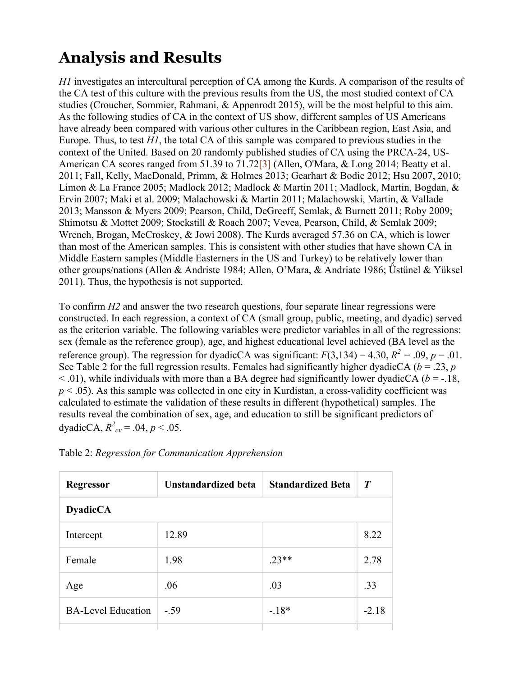# **Analysis and Results**

*H1* investigates an intercultural perception of CA among the Kurds. A comparison of the results of the CA test of this culture with the previous results from the US, the most studied context of CA studies (Croucher, Sommier, Rahmani, & Appenrodt 2015), will be the most helpful to this aim. As the following studies of CA in the context of US show, different samples of US Americans have already been compared with various other cultures in the Caribbean region, East Asia, and Europe. Thus, to test *H1*, the total CA of this sample was compared to previous studies in the context of the United. Based on 20 randomly published studies of CA using the PRCA-24, US-American CA scores ranged from 51.39 to 71.72<sup>[3]</sup> (Allen, O'Mara, & Long 2014; Beatty et al. 2011; Fall, Kelly, MacDonald, Primm, & Holmes 2013; Gearhart & Bodie 2012; Hsu 2007, 2010; Limon & La France 2005; Madlock 2012; Madlock & Martin 2011; Madlock, Martin, Bogdan, & Ervin 2007; Maki et al. 2009; Malachowski & Martin 2011; Malachowski, Martin, & Vallade 2013; Mansson & Myers 2009; Pearson, Child, DeGreeff, Semlak, & Burnett 2011; Roby 2009; Shimotsu & Mottet 2009; Stockstill & Roach 2007; Vevea, Pearson, Child, & Semlak 2009; Wrench, Brogan, McCroskey, & Jowi 2008). The Kurds averaged 57.36 on CA, which is lower than most of the American samples. This is consistent with other studies that have shown CA in Middle Eastern samples (Middle Easterners in the US and Turkey) to be relatively lower than other groups/nations (Allen & Andriste 1984; Allen, O'Mara, & Andriate 1986; Üstünel & Yüksel 2011). Thus, the hypothesis is not supported.

To confirm *H2* and answer the two research questions, four separate linear regressions were constructed. In each regression, a context of CA (small group, public, meeting, and dyadic) served as the criterion variable. The following variables were predictor variables in all of the regressions: sex (female as the reference group), age, and highest educational level achieved (BA level as the reference group). The regression for dyadicCA was significant:  $F(3,134) = 4.30$ ,  $R^2 = .09$ ,  $p = .01$ . See Table 2 for the full regression results. Females had significantly higher dyadicCA ( $b = .23$ ,  $p$ )  $<$  0.01), while individuals with more than a BA degree had significantly lower dyadicCA ( $b = -18$ , *p* < .05). As this sample was collected in one city in Kurdistan, a cross-validity coefficient was calculated to estimate the validation of these results in different (hypothetical) samples. The results reveal the combination of sex, age, and education to still be significant predictors of dyadicCA,  $R^2_{cv} = .04, p < .05$ .

| <b>Regressor</b>          | <b>Unstandardized beta</b> | <b>Standardized Beta</b> | $\boldsymbol{T}$ |  |  |  |
|---------------------------|----------------------------|--------------------------|------------------|--|--|--|
| <b>DyadicCA</b>           |                            |                          |                  |  |  |  |
| Intercept                 | 12.89                      |                          | 8.22             |  |  |  |
| Female                    | 1.98                       | $.23**$                  | 2.78             |  |  |  |
| Age                       | .06                        | .03                      | .33              |  |  |  |
| <b>BA-Level Education</b> | $-.59$                     | $-.18*$                  | $-2.18$          |  |  |  |
|                           |                            |                          |                  |  |  |  |

Table 2: *Regression for Communication Apprehension*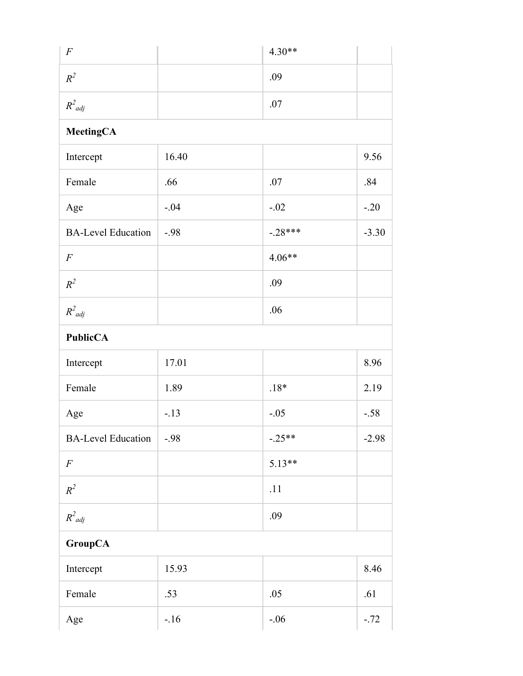| $\overline{F}$            |        | $4.30**$  |         |
|---------------------------|--------|-----------|---------|
| $R^2$                     |        | .09       |         |
| $R^2_{adj}$               |        | .07       |         |
| <b>MeetingCA</b>          |        |           |         |
| Intercept                 | 16.40  |           | 9.56    |
| Female                    | .66    | .07       | .84     |
| Age                       | $-.04$ | $-.02$    | $-.20$  |
| <b>BA-Level Education</b> | $-.98$ | $-.28***$ | $-3.30$ |
| $\boldsymbol{F}$          |        | $4.06**$  |         |
| $R^2$                     |        | .09       |         |
| $R^2_{\;\;adj}$           |        | .06       |         |
| <b>PublicCA</b>           |        |           |         |
| Intercept                 | 17.01  |           | 8.96    |
| Female                    | 1.89   | $.18*$    | 2.19    |
| Age                       | $-.13$ | $-.05$    | $-.58$  |
| <b>BA-Level Education</b> | $-.98$ | $-.25**$  | $-2.98$ |
| $\cal F$                  |        | $5.13**$  |         |
| $R^2$                     |        | .11       |         |
| $R^2_{adj}$               |        | .09       |         |
| <b>GroupCA</b>            |        |           |         |
| Intercept                 | 15.93  |           | 8.46    |
| Female                    | .53    | .05       | .61     |
| Age                       | $-.16$ | $-.06$    | $-.72$  |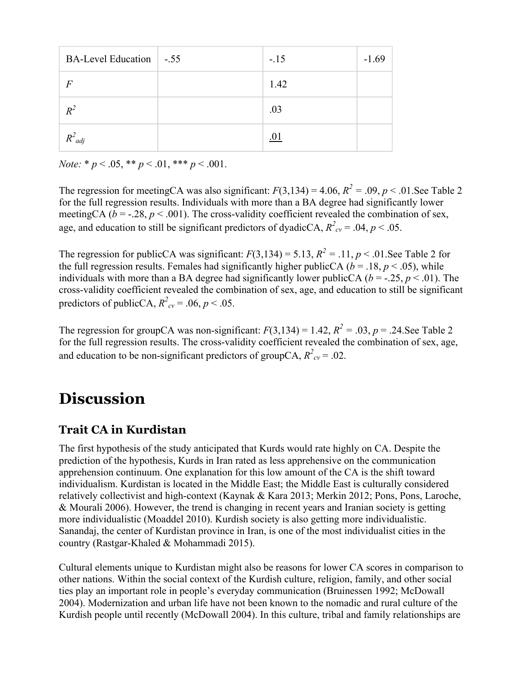| BA-Level Education   -.55 | $-.15$ | $-1.69$ |
|---------------------------|--------|---------|
| $\overline{F}$            | 1.42   |         |
| $R^2$                     | .03    |         |
| $R^2_{adj}$               |        |         |

*Note:* \* *p* < .05, \*\* *p* < .01, \*\*\* *p* < .001.

The regression for meetingCA was also significant:  $F(3,134) = 4.06$ ,  $R^2 = .09$ ,  $p < .01$ . See Table 2 for the full regression results. Individuals with more than a BA degree had significantly lower meetingCA ( $b = -0.28$ ,  $p < 0.001$ ). The cross-validity coefficient revealed the combination of sex, age, and education to still be significant predictors of dyadicCA,  $R^2_{cv} = .04$ ,  $p < .05$ .

The regression for publicCA was significant:  $F(3,134) = 5.13$ ,  $R^2 = .11$ ,  $p < .01$ . See Table 2 for the full regression results. Females had significantly higher publicCA ( $b = .18$ ,  $p < .05$ ), while individuals with more than a BA degree had significantly lower publicCA ( $b = -0.25$ ,  $p < 0.01$ ). The cross-validity coefficient revealed the combination of sex, age, and education to still be significant predictors of publicCA,  $R^2_{cv} = .06, p < .05$ .

The regression for groupCA was non-significant:  $F(3,134) = 1.42$ ,  $R^2 = .03$ ,  $p = .24$ . See Table 2 for the full regression results. The cross-validity coefficient revealed the combination of sex, age, and education to be non-significant predictors of groupCA,  $R^2_{cv} = .02$ .

### **Discussion**

#### **Trait CA in Kurdistan**

The first hypothesis of the study anticipated that Kurds would rate highly on CA. Despite the prediction of the hypothesis, Kurds in Iran rated as less apprehensive on the communication apprehension continuum. One explanation for this low amount of the CA is the shift toward individualism. Kurdistan is located in the Middle East; the Middle East is culturally considered relatively collectivist and high-context (Kaynak & Kara 2013; Merkin 2012; Pons, Pons, Laroche, & Mourali 2006). However, the trend is changing in recent years and Iranian society is getting more individualistic (Moaddel 2010). Kurdish society is also getting more individualistic. Sanandaj, the center of Kurdistan province in Iran, is one of the most individualist cities in the country (Rastgar-Khaled & Mohammadi 2015).

Cultural elements unique to Kurdistan might also be reasons for lower CA scores in comparison to other nations. Within the social context of the Kurdish culture, religion, family, and other social ties play an important role in people's everyday communication (Bruinessen 1992; McDowall 2004). Modernization and urban life have not been known to the nomadic and rural culture of the Kurdish people until recently (McDowall 2004). In this culture, tribal and family relationships are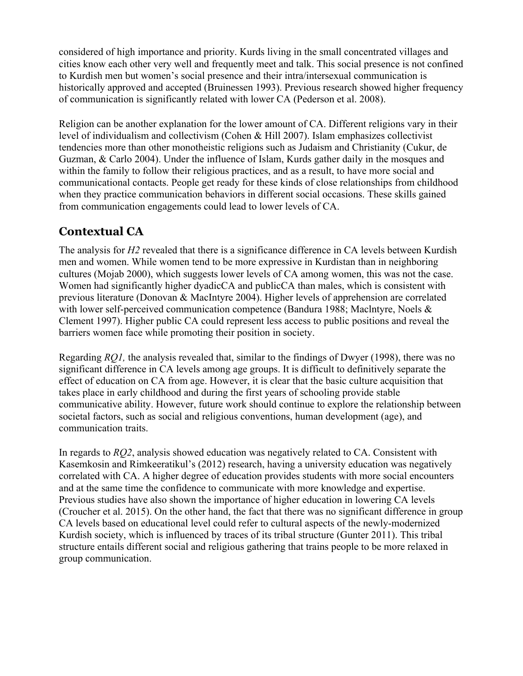considered of high importance and priority. Kurds living in the small concentrated villages and cities know each other very well and frequently meet and talk. This social presence is not confined to Kurdish men but women's social presence and their intra/intersexual communication is historically approved and accepted (Bruinessen 1993). Previous research showed higher frequency of communication is significantly related with lower CA (Pederson et al. 2008).

Religion can be another explanation for the lower amount of CA. Different religions vary in their level of individualism and collectivism (Cohen & Hill 2007). Islam emphasizes collectivist tendencies more than other monotheistic religions such as Judaism and Christianity (Cukur, de Guzman, & Carlo 2004). Under the influence of Islam, Kurds gather daily in the mosques and within the family to follow their religious practices, and as a result, to have more social and communicational contacts. People get ready for these kinds of close relationships from childhood when they practice communication behaviors in different social occasions. These skills gained from communication engagements could lead to lower levels of CA.

#### **Contextual CA**

The analysis for *H2* revealed that there is a significance difference in CA levels between Kurdish men and women. While women tend to be more expressive in Kurdistan than in neighboring cultures (Mojab 2000), which suggests lower levels of CA among women, this was not the case. Women had significantly higher dyadicCA and publicCA than males, which is consistent with previous literature (Donovan & MacIntyre 2004). Higher levels of apprehension are correlated with lower self-perceived communication competence (Bandura 1988; MacIntyre, Noels & Clement 1997). Higher public CA could represent less access to public positions and reveal the barriers women face while promoting their position in society.

Regarding *RQ1,* the analysis revealed that, similar to the findings of Dwyer (1998), there was no significant difference in CA levels among age groups. It is difficult to definitively separate the effect of education on CA from age. However, it is clear that the basic culture acquisition that takes place in early childhood and during the first years of schooling provide stable communicative ability. However, future work should continue to explore the relationship between societal factors, such as social and religious conventions, human development (age), and communication traits.

In regards to *RQ2*, analysis showed education was negatively related to CA. Consistent with Kasemkosin and Rimkeeratikul's (2012) research, having a university education was negatively correlated with CA. A higher degree of education provides students with more social encounters and at the same time the confidence to communicate with more knowledge and expertise. Previous studies have also shown the importance of higher education in lowering CA levels (Croucher et al. 2015). On the other hand, the fact that there was no significant difference in group CA levels based on educational level could refer to cultural aspects of the newly-modernized Kurdish society, which is influenced by traces of its tribal structure (Gunter 2011). This tribal structure entails different social and religious gathering that trains people to be more relaxed in group communication.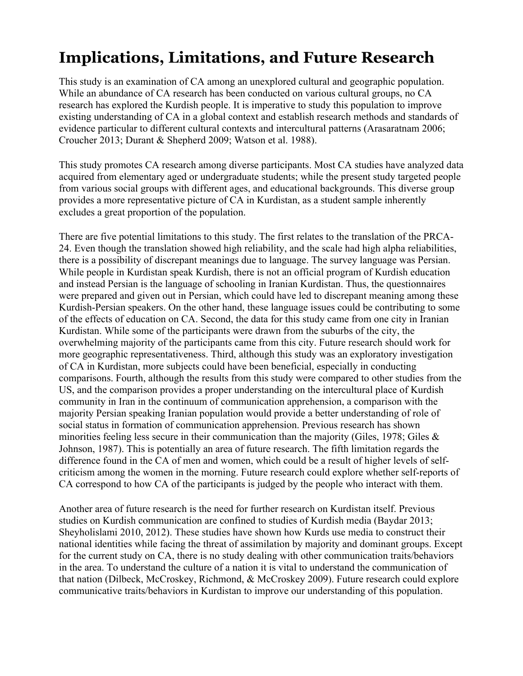# **Implications, Limitations, and Future Research**

This study is an examination of CA among an unexplored cultural and geographic population. While an abundance of CA research has been conducted on various cultural groups, no CA research has explored the Kurdish people. It is imperative to study this population to improve existing understanding of CA in a global context and establish research methods and standards of evidence particular to different cultural contexts and intercultural patterns (Arasaratnam 2006; Croucher 2013; Durant & Shepherd 2009; Watson et al. 1988).

This study promotes CA research among diverse participants. Most CA studies have analyzed data acquired from elementary aged or undergraduate students; while the present study targeted people from various social groups with different ages, and educational backgrounds. This diverse group provides a more representative picture of CA in Kurdistan, as a student sample inherently excludes a great proportion of the population.

There are five potential limitations to this study. The first relates to the translation of the PRCA-24. Even though the translation showed high reliability, and the scale had high alpha reliabilities, there is a possibility of discrepant meanings due to language. The survey language was Persian. While people in Kurdistan speak Kurdish, there is not an official program of Kurdish education and instead Persian is the language of schooling in Iranian Kurdistan. Thus, the questionnaires were prepared and given out in Persian, which could have led to discrepant meaning among these Kurdish-Persian speakers. On the other hand, these language issues could be contributing to some of the effects of education on CA. Second, the data for this study came from one city in Iranian Kurdistan. While some of the participants were drawn from the suburbs of the city, the overwhelming majority of the participants came from this city. Future research should work for more geographic representativeness. Third, although this study was an exploratory investigation of CA in Kurdistan, more subjects could have been beneficial, especially in conducting comparisons. Fourth, although the results from this study were compared to other studies from the US, and the comparison provides a proper understanding on the intercultural place of Kurdish community in Iran in the continuum of communication apprehension, a comparison with the majority Persian speaking Iranian population would provide a better understanding of role of social status in formation of communication apprehension. Previous research has shown minorities feeling less secure in their communication than the majority (Giles, 1978; Giles & Johnson, 1987). This is potentially an area of future research. The fifth limitation regards the difference found in the CA of men and women, which could be a result of higher levels of selfcriticism among the women in the morning. Future research could explore whether self-reports of CA correspond to how CA of the participants is judged by the people who interact with them.

Another area of future research is the need for further research on Kurdistan itself. Previous studies on Kurdish communication are confined to studies of Kurdish media (Baydar 2013; Sheyholislami 2010, 2012). These studies have shown how Kurds use media to construct their national identities while facing the threat of assimilation by majority and dominant groups. Except for the current study on CA, there is no study dealing with other communication traits/behaviors in the area. To understand the culture of a nation it is vital to understand the communication of that nation (Dilbeck, McCroskey, Richmond, & McCroskey 2009). Future research could explore communicative traits/behaviors in Kurdistan to improve our understanding of this population.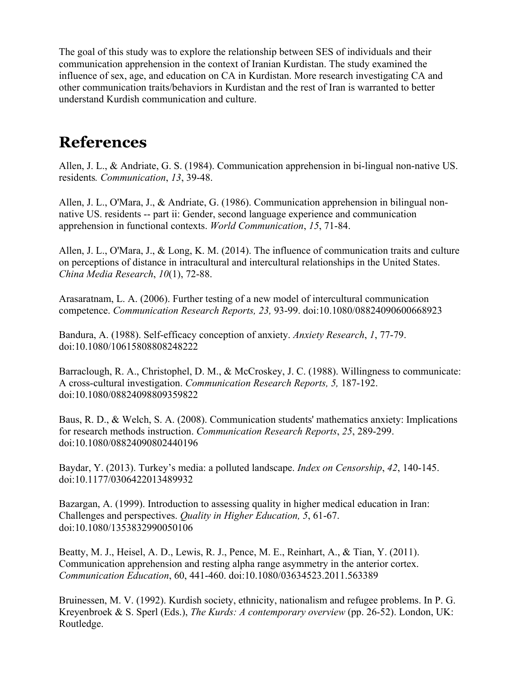The goal of this study was to explore the relationship between SES of individuals and their communication apprehension in the context of Iranian Kurdistan. The study examined the influence of sex, age, and education on CA in Kurdistan. More research investigating CA and other communication traits/behaviors in Kurdistan and the rest of Iran is warranted to better understand Kurdish communication and culture.

### **References**

Allen, J. L., & Andriate, G. S. (1984). Communication apprehension in bi-lingual non-native US. residents*. Communication*, *13*, 39-48.

Allen, J. L., O'Mara, J., & Andriate, G. (1986). Communication apprehension in bilingual nonnative US. residents -- part ii: Gender, second language experience and communication apprehension in functional contexts. *World Communication*, *15*, 71-84.

Allen, J. L., O'Mara, J., & Long, K. M. (2014). The influence of communication traits and culture on perceptions of distance in intracultural and intercultural relationships in the United States. *China Media Research*, *10*(1), 72-88.

Arasaratnam, L. A. (2006). Further testing of a new model of intercultural communication competence. *Communication Research Reports, 23,* 93-99. doi:10.1080/08824090600668923

Bandura, A. (1988). Self-efficacy conception of anxiety. *Anxiety Research*, *1*, 77-79. doi:10.1080/10615808808248222

Barraclough, R. A., Christophel, D. M., & McCroskey, J. C. (1988). Willingness to communicate: A cross-cultural investigation. *Communication Research Reports, 5,* 187-192. doi:10.1080/08824098809359822

Baus, R. D., & Welch, S. A. (2008). Communication students' mathematics anxiety: Implications for research methods instruction. *Communication Research Reports*, *25*, 289-299. doi:10.1080/08824090802440196

Baydar, Y. (2013). Turkey's media: a polluted landscape. *Index on Censorship*, *42*, 140-145. doi:10.1177/0306422013489932

Bazargan, A. (1999). Introduction to assessing quality in higher medical education in Iran: Challenges and perspectives. *Quality in Higher Education, 5*, 61-67. doi:10.1080/1353832990050106

Beatty, M. J., Heisel, A. D., Lewis, R. J., Pence, M. E., Reinhart, A., & Tian, Y. (2011). Communication apprehension and resting alpha range asymmetry in the anterior cortex. *Communication Education*, 60, 441-460. doi:10.1080/03634523.2011.563389

Bruinessen, M. V. (1992). Kurdish society, ethnicity, nationalism and refugee problems. In P. G. Kreyenbroek & S. Sperl (Eds.), *The Kurds: A contemporary overview* (pp. 26-52). London, UK: Routledge.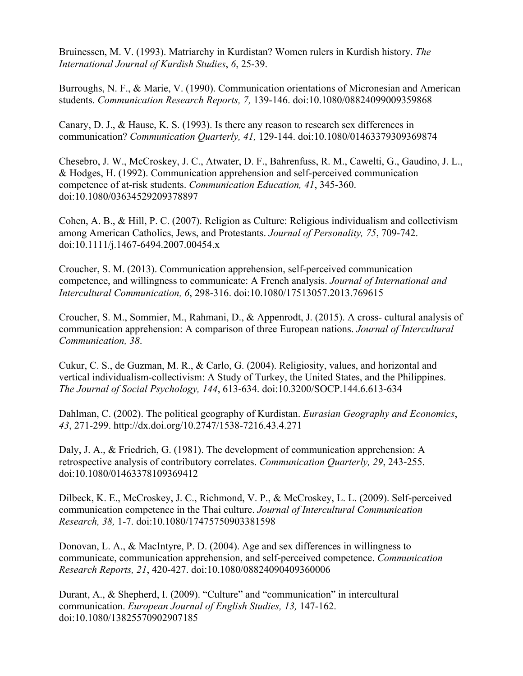Bruinessen, M. V. (1993). Matriarchy in Kurdistan? Women rulers in Kurdish history. *The International Journal of Kurdish Studies*, *6*, 25-39.

Burroughs, N. F., & Marie, V. (1990). Communication orientations of Micronesian and American students. *Communication Research Reports, 7,* 139-146. doi:10.1080/08824099009359868

Canary, D. J., & Hause, K. S. (1993). Is there any reason to research sex differences in communication? *Communication Quarterly, 41,* 129-144. doi:10.1080/01463379309369874

Chesebro, J. W., McCroskey, J. C., Atwater, D. F., Bahrenfuss, R. M., Cawelti, G., Gaudino, J. L., & Hodges, H. (1992). Communication apprehension and self-perceived communication competence of at-risk students. *Communication Education, 41*, 345-360. doi:10.1080/03634529209378897

Cohen, A. B., & Hill, P. C. (2007). Religion as Culture: Religious individualism and collectivism among American Catholics, Jews, and Protestants. *Journal of Personality, 75*, 709-742. doi:10.1111/j.1467-6494.2007.00454.x

Croucher, S. M. (2013). Communication apprehension, self-perceived communication competence, and willingness to communicate: A French analysis. *Journal of International and Intercultural Communication, 6*, 298-316. doi:10.1080/17513057.2013.769615

Croucher, S. M., Sommier, M., Rahmani, D., & Appenrodt, J. (2015). A cross- cultural analysis of communication apprehension: A comparison of three European nations. *Journal of Intercultural Communication, 38*.

Cukur, C. S., de Guzman, M. R., & Carlo, G. (2004). Religiosity, values, and horizontal and vertical individualism-collectivism: A Study of Turkey, the United States, and the Philippines. *The Journal of Social Psychology, 144*, 613-634. doi:10.3200/SOCP.144.6.613-634

Dahlman, C. (2002). The political geography of Kurdistan. *Eurasian Geography and Economics*, *43*, 271-299. http://dx.doi.org/10.2747/1538-7216.43.4.271

Daly, J. A., & Friedrich, G. (1981). The development of communication apprehension: A retrospective analysis of contributory correlates. *Communication Quarterly, 29*, 243-255. doi:10.1080/01463378109369412

Dilbeck, K. E., McCroskey, J. C., Richmond, V. P., & McCroskey, L. L. (2009). Self-perceived communication competence in the Thai culture. *Journal of Intercultural Communication Research, 38,* 1-7. doi:10.1080/17475750903381598

Donovan, L. A., & MacIntyre, P. D. (2004). Age and sex differences in willingness to communicate, communication apprehension, and self-perceived competence. *Communication Research Reports, 21*, 420-427. doi:10.1080/08824090409360006

Durant, A., & Shepherd, I. (2009). "Culture" and "communication" in intercultural communication. *European Journal of English Studies, 13,* 147-162. doi:10.1080/13825570902907185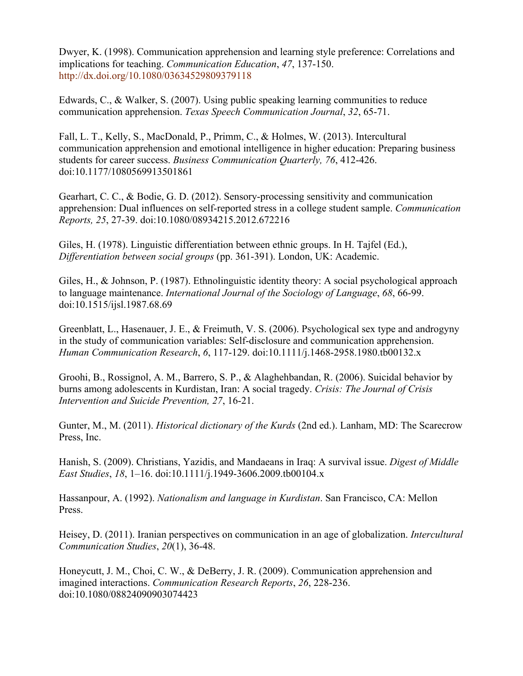Dwyer, K. (1998). Communication apprehension and learning style preference: Correlations and implications for teaching. *Communication Education*, *47*, 137-150. http://dx.doi.org/10.1080/03634529809379118

Edwards, C., & Walker, S. (2007). Using public speaking learning communities to reduce communication apprehension. *Texas Speech Communication Journal*, *32*, 65-71.

Fall, L. T., Kelly, S., MacDonald, P., Primm, C., & Holmes, W. (2013). Intercultural communication apprehension and emotional intelligence in higher education: Preparing business students for career success. *Business Communication Quarterly, 76*, 412-426. doi:10.1177/1080569913501861

Gearhart, C. C., & Bodie, G. D. (2012). Sensory-processing sensitivity and communication apprehension: Dual influences on self-reported stress in a college student sample. *Communication Reports, 25*, 27-39. doi:10.1080/08934215.2012.672216

Giles, H. (1978). Linguistic differentiation between ethnic groups. In H. Tajfel (Ed.), *Differentiation between social groups* (pp. 361-391). London, UK: Academic.

Giles, H., & Johnson, P. (1987). Ethnolinguistic identity theory: A social psychological approach to language maintenance. *International Journal of the Sociology of Language*, *68*, 66-99. doi:10.1515/ijsl.1987.68.69

Greenblatt, L., Hasenauer, J. E., & Freimuth, V. S. (2006). Psychological sex type and androgyny in the study of communication variables: Self-disclosure and communication apprehension. *Human Communication Research*, *6*, 117-129. doi:10.1111/j.1468-2958.1980.tb00132.x

Groohi, B., Rossignol, A. M., Barrero, S. P., & Alaghehbandan, R. (2006). Suicidal behavior by burns among adolescents in Kurdistan, Iran: A social tragedy. *Crisis: The Journal of Crisis Intervention and Suicide Prevention, 27*, 16-21.

Gunter, M., M. (2011). *Historical dictionary of the Kurds* (2nd ed.). Lanham, MD: The Scarecrow Press, Inc.

Hanish, S. (2009). Christians, Yazidis, and Mandaeans in Iraq: A survival issue. *Digest of Middle East Studies*, *18*, 1–16. doi:10.1111/j.1949-3606.2009.tb00104.x

Hassanpour, A. (1992). *Nationalism and language in Kurdistan*. San Francisco, CA: Mellon Press.

Heisey, D. (2011). Iranian perspectives on communication in an age of globalization. *Intercultural Communication Studies*, *20*(1), 36-48.

Honeycutt, J. M., Choi, C. W., & DeBerry, J. R. (2009). Communication apprehension and imagined interactions. *Communication Research Reports*, *26*, 228-236. doi:10.1080/08824090903074423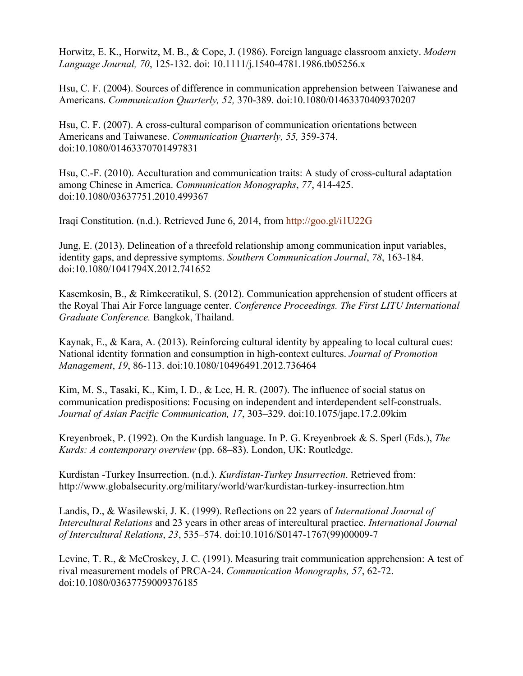Horwitz, E. K., Horwitz, M. B., & Cope, J. (1986). Foreign language classroom anxiety. *Modern Language Journal, 70*, 125-132. doi: 10.1111/j.1540-4781.1986.tb05256.x

Hsu, C. F. (2004). Sources of difference in communication apprehension between Taiwanese and Americans. *Communication Quarterly, 52,* 370-389. doi:10.1080/01463370409370207

Hsu, C. F. (2007). A cross-cultural comparison of communication orientations between Americans and Taiwanese. *Communication Quarterly, 55,* 359-374. doi:10.1080/01463370701497831

Hsu, C.-F. (2010). Acculturation and communication traits: A study of cross-cultural adaptation among Chinese in America. *Communication Monographs*, *77*, 414-425. doi:10.1080/03637751.2010.499367

Iraqi Constitution. (n.d.). Retrieved June 6, 2014, from http://goo.gl/i1U22G

Jung, E. (2013). Delineation of a threefold relationship among communication input variables, identity gaps, and depressive symptoms. *Southern Communication Journal*, *78*, 163-184. doi:10.1080/1041794X.2012.741652

Kasemkosin, B., & Rimkeeratikul, S. (2012). Communication apprehension of student officers at the Royal Thai Air Force language center. *Conference Proceedings. The First LITU International Graduate Conference.* Bangkok, Thailand.

Kaynak, E., & Kara, A. (2013). Reinforcing cultural identity by appealing to local cultural cues: National identity formation and consumption in high-context cultures. *Journal of Promotion Management*, *19*, 86-113. doi:10.1080/10496491.2012.736464

Kim, M. S., Tasaki, K., Kim, I. D., & Lee, H. R. (2007). The influence of social status on communication predispositions: Focusing on independent and interdependent self-construals. *Journal of Asian Pacific Communication, 17*, 303–329. doi:10.1075/japc.17.2.09kim

Kreyenbroek, P. (1992). On the Kurdish language. In P. G. Kreyenbroek & S. Sperl (Eds.), *The Kurds: A contemporary overview* (pp. 68–83). London, UK: Routledge.

Kurdistan -Turkey Insurrection. (n.d.). *Kurdistan-Turkey Insurrection*. Retrieved from: http://www.globalsecurity.org/military/world/war/kurdistan-turkey-insurrection.htm

Landis, D., & Wasilewski, J. K. (1999). Reflections on 22 years of *International Journal of Intercultural Relations* and 23 years in other areas of intercultural practice. *International Journal of Intercultural Relations*, *23*, 535–574. doi:10.1016/S0147-1767(99)00009-7

Levine, T. R., & McCroskey, J. C. (1991). Measuring trait communication apprehension: A test of rival measurement models of PRCA-24. *Communication Monographs, 57*, 62-72. doi:10.1080/03637759009376185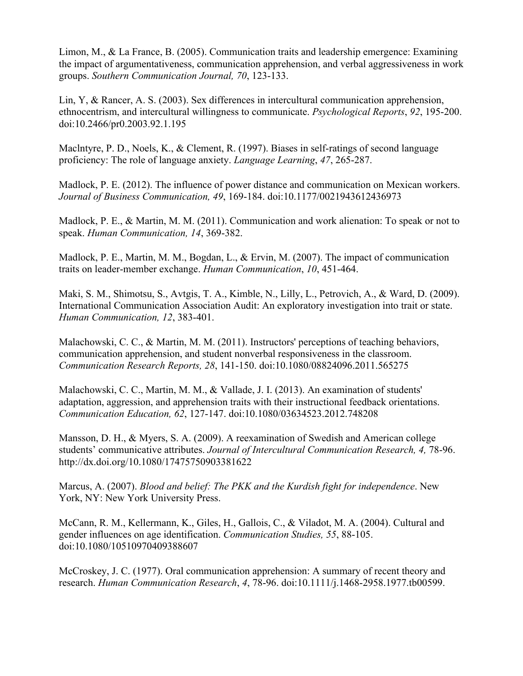Limon, M., & La France, B. (2005). Communication traits and leadership emergence: Examining the impact of argumentativeness, communication apprehension, and verbal aggressiveness in work groups. *Southern Communication Journal, 70*, 123-133.

Lin, Y, & Rancer, A. S. (2003). Sex differences in intercultural communication apprehension, ethnocentrism, and intercultural willingness to communicate. *Psychological Reports*, *92*, 195-200. doi:10.2466/pr0.2003.92.1.195

Maclntyre, P. D., Noels, K., & Clement, R. (1997). Biases in self-ratings of second language proficiency: The role of language anxiety. *Language Learning*, *47*, 265-287.

Madlock, P. E. (2012). The influence of power distance and communication on Mexican workers. *Journal of Business Communication, 49*, 169-184. doi:10.1177/0021943612436973

Madlock, P. E., & Martin, M. M. (2011). Communication and work alienation: To speak or not to speak. *Human Communication, 14*, 369-382.

Madlock, P. E., Martin, M. M., Bogdan, L., & Ervin, M. (2007). The impact of communication traits on leader-member exchange. *Human Communication*, *10*, 451-464.

Maki, S. M., Shimotsu, S., Avtgis, T. A., Kimble, N., Lilly, L., Petrovich, A., & Ward, D. (2009). International Communication Association Audit: An exploratory investigation into trait or state. *Human Communication, 12*, 383-401.

Malachowski, C. C., & Martin, M. M. (2011). Instructors' perceptions of teaching behaviors, communication apprehension, and student nonverbal responsiveness in the classroom. *Communication Research Reports, 28*, 141-150. doi:10.1080/08824096.2011.565275

Malachowski, C. C., Martin, M. M., & Vallade, J. I. (2013). An examination of students' adaptation, aggression, and apprehension traits with their instructional feedback orientations. *Communication Education, 62*, 127-147. doi:10.1080/03634523.2012.748208

Mansson, D. H., & Myers, S. A. (2009). A reexamination of Swedish and American college students' communicative attributes. *Journal of Intercultural Communication Research*, 4, 78-96. http://dx.doi.org/10.1080/17475750903381622

Marcus, A. (2007). *Blood and belief: The PKK and the Kurdish fight for independence*. New York, NY: New York University Press.

McCann, R. M., Kellermann, K., Giles, H., Gallois, C., & Viladot, M. A. (2004). Cultural and gender influences on age identification. *Communication Studies, 55*, 88-105. doi:10.1080/10510970409388607

McCroskey, J. C. (1977). Oral communication apprehension: A summary of recent theory and research. *Human Communication Research*, *4*, 78-96. doi:10.1111/j.1468-2958.1977.tb00599.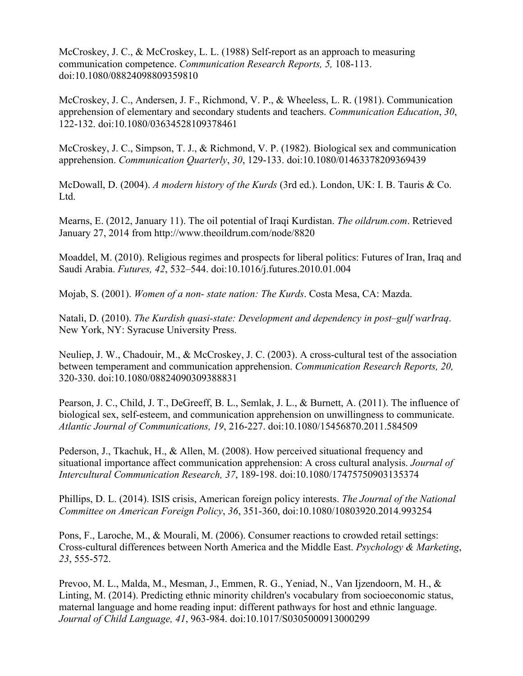McCroskey, J. C., & McCroskey, L. L. (1988) Self-report as an approach to measuring communication competence. *Communication Research Reports, 5,* 108-113. doi:10.1080/08824098809359810

McCroskey, J. C., Andersen, J. F., Richmond, V. P., & Wheeless, L. R. (1981). Communication apprehension of elementary and secondary students and teachers. *Communication Education*, *30*, 122-132. doi:10.1080/03634528109378461

McCroskey, J. C., Simpson, T. J., & Richmond, V. P. (1982). Biological sex and communication apprehension. *Communication Quarterly*, *30*, 129-133. doi:10.1080/01463378209369439

McDowall, D. (2004). *A modern history of the Kurds* (3rd ed.). London, UK: I. B. Tauris & Co. Ltd.

Mearns, E. (2012, January 11). The oil potential of Iraqi Kurdistan. *The oildrum.com*. Retrieved January 27, 2014 from http://www.theoildrum.com/node/8820

Moaddel, M. (2010). Religious regimes and prospects for liberal politics: Futures of Iran, Iraq and Saudi Arabia. *Futures, 42*, 532–544. doi:10.1016/j.futures.2010.01.004

Mojab, S. (2001). *Women of a non- state nation: The Kurds*. Costa Mesa, CA: Mazda.

Natali, D. (2010). *The Kurdish quasi-state: Development and dependency in post–gulf warIraq*. New York, NY: Syracuse University Press.

Neuliep, J. W., Chadouir, M., & McCroskey, J. C. (2003). A cross-cultural test of the association between temperament and communication apprehension. *Communication Research Reports, 20,*  320-330. doi:10.1080/08824090309388831

Pearson, J. C., Child, J. T., DeGreeff, B. L., Semlak, J. L., & Burnett, A. (2011). The influence of biological sex, self-esteem, and communication apprehension on unwillingness to communicate. *Atlantic Journal of Communications, 19*, 216-227. doi:10.1080/15456870.2011.584509

Pederson, J., Tkachuk, H., & Allen, M. (2008). How perceived situational frequency and situational importance affect communication apprehension: A cross cultural analysis. *Journal of Intercultural Communication Research, 37*, 189-198. doi:10.1080/17475750903135374

Phillips, D. L. (2014). ISIS crisis, American foreign policy interests. *The Journal of the National Committee on American Foreign Policy*, *36*, 351-360, doi:10.1080/10803920.2014.993254

Pons, F., Laroche, M., & Mourali, M. (2006). Consumer reactions to crowded retail settings: Cross-cultural differences between North America and the Middle East. *Psychology & Marketing*, *23*, 555-572.

Prevoo, M. L., Malda, M., Mesman, J., Emmen, R. G., Yeniad, N., Van Ijzendoorn, M. H., & Linting, M. (2014). Predicting ethnic minority children's vocabulary from socioeconomic status, maternal language and home reading input: different pathways for host and ethnic language. *Journal of Child Language, 41*, 963-984. doi:10.1017/S0305000913000299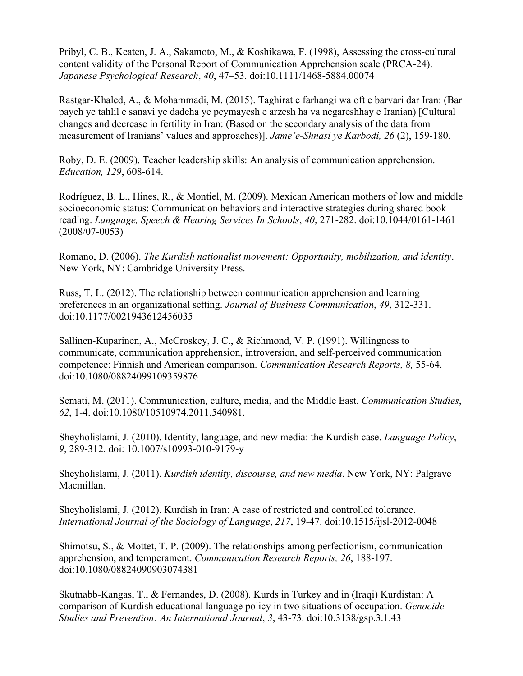Pribyl, C. B., Keaten, J. A., Sakamoto, M., & Koshikawa, F. (1998), Assessing the cross-cultural content validity of the Personal Report of Communication Apprehension scale (PRCA-24). *Japanese Psychological Research*, *40*, 47–53. doi:10.1111/1468-5884.00074

Rastgar-Khaled, A., & Mohammadi, M. (2015). Taghirat e farhangi wa oft e barvari dar Iran: (Bar payeh ye tahlil e sanavi ye dadeha ye peymayesh e arzesh ha va negareshhay e Iranian) [Cultural changes and decrease in fertility in Iran: (Based on the secondary analysis of the data from measurement of Iranians' values and approaches)]. *Jame'e-Shnasi ye Karbodi, 26* (2), 159-180.

Roby, D. E. (2009). Teacher leadership skills: An analysis of communication apprehension. *Education, 129*, 608-614.

Rodríguez, B. L., Hines, R., & Montiel, M. (2009). Mexican American mothers of low and middle socioeconomic status: Communication behaviors and interactive strategies during shared book reading. *Language, Speech & Hearing Services In Schools*, *40*, 271-282. doi:10.1044/0161-1461 (2008/07-0053)

Romano, D. (2006). *The Kurdish nationalist movement: Opportunity, mobilization, and identity*. New York, NY: Cambridge University Press.

Russ, T. L. (2012). The relationship between communication apprehension and learning preferences in an organizational setting. *Journal of Business Communication*, *49*, 312-331. doi:10.1177/0021943612456035

Sallinen-Kuparinen, A., McCroskey, J. C., & Richmond, V. P. (1991). Willingness to communicate, communication apprehension, introversion, and self-perceived communication competence: Finnish and American comparison. *Communication Research Reports, 8,* 55-64. doi:10.1080/08824099109359876

Semati, M. (2011). Communication, culture, media, and the Middle East. *Communication Studies*, *62*, 1-4. doi:10.1080/10510974.2011.540981.

Sheyholislami, J. (2010). Identity, language, and new media: the Kurdish case. *Language Policy*, *9*, 289-312. doi: 10.1007/s10993-010-9179-y

Sheyholislami, J. (2011). *Kurdish identity, discourse, and new media*. New York, NY: Palgrave Macmillan.

Sheyholislami, J. (2012). Kurdish in Iran: A case of restricted and controlled tolerance. *International Journal of the Sociology of Language*, *217*, 19-47. doi:10.1515/ijsl-2012-0048

Shimotsu, S., & Mottet, T. P. (2009). The relationships among perfectionism, communication apprehension, and temperament. *Communication Research Reports, 26*, 188-197. doi:10.1080/08824090903074381

Skutnabb-Kangas, T., & Fernandes, D. (2008). Kurds in Turkey and in (Iraqi) Kurdistan: A comparison of Kurdish educational language policy in two situations of occupation. *Genocide Studies and Prevention: An International Journal*, *3*, 43-73. doi:10.3138/gsp.3.1.43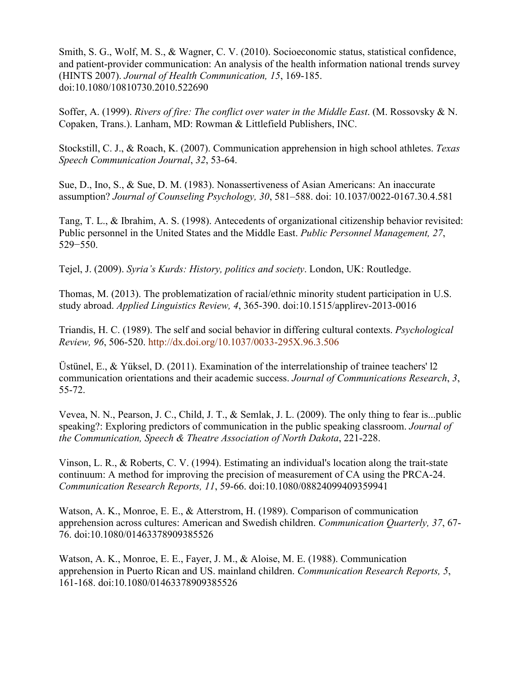Smith, S. G., Wolf, M. S., & Wagner, C. V. (2010). Socioeconomic status, statistical confidence, and patient-provider communication: An analysis of the health information national trends survey (HINTS 2007). *Journal of Health Communication, 15*, 169-185. doi:10.1080/10810730.2010.522690

Soffer, A. (1999). *Rivers of fire: The conflict over water in the Middle East*. (M. Rossovsky & N. Copaken, Trans.). Lanham, MD: Rowman & Littlefield Publishers, INC.

Stockstill, C. J., & Roach, K. (2007). Communication apprehension in high school athletes. *Texas Speech Communication Journal*, *32*, 53-64.

Sue, D., Ino, S., & Sue, D. M. (1983). Nonassertiveness of Asian Americans: An inaccurate assumption? *Journal of Counseling Psychology, 30*, 581–588. doi: 10.1037/0022-0167.30.4.581

Tang, T. L., & Ibrahim, A. S. (1998). Antecedents of organizational citizenship behavior revisited: Public personnel in the United States and the Middle East. *Public Personnel Management, 27*, 529−550.

Tejel, J. (2009). *Syria's Kurds: History, politics and society*. London, UK: Routledge.

Thomas, M. (2013). The problematization of racial/ethnic minority student participation in U.S. study abroad. *Applied Linguistics Review, 4*, 365-390. doi:10.1515/applirev-2013-0016

Triandis, H. C. (1989). The self and social behavior in differing cultural contexts. *Psychological Review, 96*, 506-520. http://dx.doi.org/10.1037/0033-295X.96.3.506

Üstünel, E., & Yüksel, D. (2011). Examination of the interrelationship of trainee teachers' l2 communication orientations and their academic success. *Journal of Communications Research*, *3*, 55-72.

Vevea, N. N., Pearson, J. C., Child, J. T., & Semlak, J. L. (2009). The only thing to fear is...public speaking?: Exploring predictors of communication in the public speaking classroom. *Journal of the Communication, Speech & Theatre Association of North Dakota*, 221-228.

Vinson, L. R., & Roberts, C. V. (1994). Estimating an individual's location along the trait-state continuum: A method for improving the precision of measurement of CA using the PRCA-24. *Communication Research Reports, 11*, 59-66. doi:10.1080/08824099409359941

Watson, A. K., Monroe, E. E., & Atterstrom, H. (1989). Comparison of communication apprehension across cultures: American and Swedish children. *Communication Quarterly, 37*, 67- 76. doi:10.1080/01463378909385526

Watson, A. K., Monroe, E. E., Fayer, J. M., & Aloise, M. E. (1988). Communication apprehension in Puerto Rican and US. mainland children. *Communication Research Reports, 5*, 161-168. doi:10.1080/01463378909385526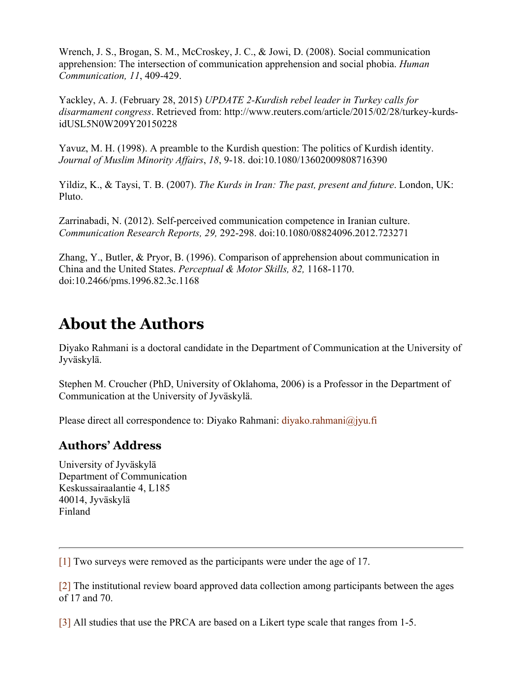Wrench, J. S., Brogan, S. M., McCroskey, J. C., & Jowi, D. (2008). Social communication apprehension: The intersection of communication apprehension and social phobia. *Human Communication, 11*, 409-429.

Yackley, A. J. (February 28, 2015) *UPDATE 2-Kurdish rebel leader in Turkey calls for disarmament congress*. Retrieved from: http://www.reuters.com/article/2015/02/28/turkey-kurdsidUSL5N0W209Y20150228

Yavuz, M. H. (1998). A preamble to the Kurdish question: The politics of Kurdish identity. *Journal of Muslim Minority Affairs*, *18*, 9-18. doi:10.1080/13602009808716390

Yildiz, K., & Taysi, T. B. (2007). *The Kurds in Iran: The past, present and future*. London, UK: Pluto.

Zarrinabadi, N. (2012). Self-perceived communication competence in Iranian culture. *Communication Research Reports, 29,* 292-298. doi:10.1080/08824096.2012.723271

Zhang, Y., Butler, & Pryor, B. (1996). Comparison of apprehension about communication in China and the United States. *Perceptual & Motor Skills, 82,* 1168-1170. doi:10.2466/pms.1996.82.3c.1168

## **About the Authors**

Diyako Rahmani is a doctoral candidate in the Department of Communication at the University of Jyväskylä.

Stephen M. Croucher (PhD, University of Oklahoma, 2006) is a Professor in the Department of Communication at the University of Jyväskylä.

Please direct all correspondence to: Diyako Rahmani: diyako.rahmani@jyu.fi

#### **Authors' Address**

University of Jyväskylä Department of Communication Keskussairaalantie 4, L185 40014, Jyväskylä Finland

[1] Two surveys were removed as the participants were under the age of 17.

[2] The institutional review board approved data collection among participants between the ages of 17 and 70.

[3] All studies that use the PRCA are based on a Likert type scale that ranges from 1-5.